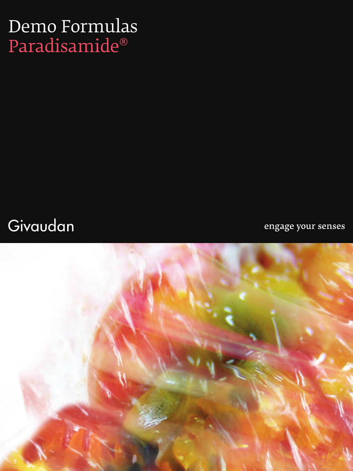## Demo Formulas Paradisamide®

### Givaudan

engage your senses

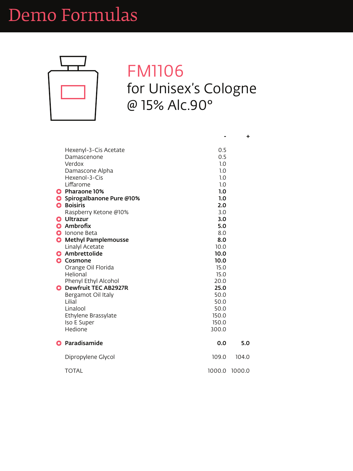

### FM1106 for Unisex's Cologne @ 15% Alc.90°

| Hexenyl-3-Cis Acetate      | 0.5 |
|----------------------------|-----|
| Damascenone                | 0.5 |
| Verdox                     | 1.0 |
| Damascone Alpha            | 1.0 |
| Hexenol-3-Cis              | 1.0 |
| Liffarome                  | 1.0 |
| <b>G</b> Pharaone 10%      | 1.0 |
| G Spirogalbanone Pure @10% | 1.0 |
| <b>A</b> Roisiris          | ח כ |

|   | <b>Boisiris</b>               | 2.0    |        |
|---|-------------------------------|--------|--------|
|   | Raspberry Ketone @10%         | 3.0    |        |
|   | <b>e</b> Ultrazur             | 3.0    |        |
|   | Ambrofix                      | 5.0    |        |
|   | <b>Ionone Beta</b>            | 8.0    |        |
|   | <b>G</b> Methyl Pamplemousse  | 8.0    |        |
|   | <b>Linalyl Acetate</b>        | 10.0   |        |
| G | Ambrettolide                  | 10.0   |        |
|   | <b>G</b> Cosmone              | 10.0   |        |
|   | Orange Oil Florida            | 15.0   |        |
|   | <b>Helional</b>               | 15.0   |        |
|   | <b>Phenyl Ethyl Alcohol</b>   | 20.0   |        |
|   | <b>G</b> Dewfruit TEC AB2927R | 25.0   |        |
|   | Bergamot Oil Italy            | 50.0   |        |
|   | Lilial                        | 50.0   |        |
|   | Linalool                      | 50.0   |        |
|   | <b>Ethylene Brassylate</b>    | 150.0  |        |
|   | Iso E Super                   | 150.0  |        |
|   | <b>Hedione</b>                | 300.0  |        |
|   | Paradisamide                  | 0.0    | 5.0    |
|   | Dipropylene Glycol            | 109.0  | 104.0  |
|   | <b>TOTAL</b>                  | 1000.0 | 1000.0 |

**+**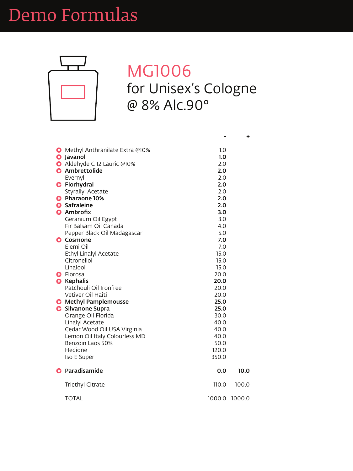

### MG1006 for Unisex's Cologne @ 8% Alc.90°

| <b>G</b> Methyl Anthranilate Extra @10% | 1.0        |
|-----------------------------------------|------------|
| <b>G</b> Javanol                        | 1.0        |
| Aldehyde C 12 Lauric @10%               | 2.0        |
| <b>G</b> Ambrettolide                   | 2.0        |
| Evernyl                                 | 2.0        |
| <b>G</b> Florhydral                     | 2.0        |
| <b>Styrallyl Acetate</b>                | 2.0        |
| <b>C</b> Pharaone 10%                   | 2.0        |
| Safraleine                              | <b>2.0</b> |

| <b>Sultal district</b>                  | Z.U    |        |
|-----------------------------------------|--------|--------|
| <b>G</b> Ambrofix                       | 3.0    |        |
| Geranium Oil Egypt                      | 3.0    |        |
| Fir Balsam Oil Canada                   | 4.0    |        |
| Pepper Black Oil Madagascar             | 5.0    |        |
| <b>Cosmone</b><br>e                     | 7.0    |        |
| Elemi Oil                               | 7.0    |        |
| <b>Ethyl Linalyl Acetate</b>            | 15.0   |        |
| Citronellol                             | 15.0   |        |
| Linalool                                | 15.0   |        |
| Florosa<br>G                            | 20.0   |        |
| <b>Kephalis</b><br>$\bullet$            | 20.0   |        |
| Patchouli Oil Ironfree                  | 20.0   |        |
| <b>Vetiver Oil Haiti</b>                | 20.0   |        |
| <b>Methyl Pamplemousse</b><br>$\bullet$ | 25.0   |        |
| <b>Silvanone Supra</b>                  | 25.0   |        |
| Orange Oil Florida                      | 30.0   |        |
| <b>Linalyl Acetate</b>                  | 40.0   |        |
| Cedar Wood Oil USA Virginia             | 40.0   |        |
| Lemon Oil Italy Colourless MD           | 40.0   |        |
| Benzoin Laos 50%                        | 50.0   |        |
| <b>Hedione</b>                          | 120.0  |        |
| Iso E Super                             | 350.0  |        |
| Paradisamide                            | 0.0    | 10.0   |
| <b>Triethyl Citrate</b>                 | 110.0  | 100.0  |
| <b>TOTAL</b>                            | 1000.0 | 1000.0 |

**+**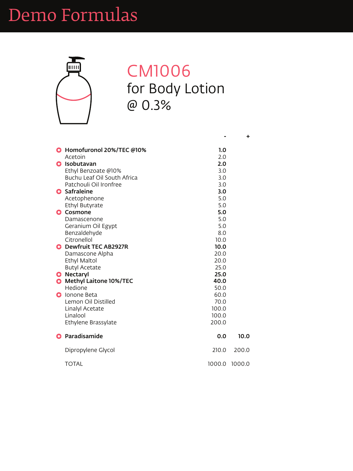

#### CM1006 for Body Lotion @ 0.3%

| <b>G</b> Homofuronol 20%/TEC @10% | 1.0            |
|-----------------------------------|----------------|
| Acetoin                           | 2.0            |
| <b>G</b> Isobutavan               | 2.0            |
| Ethyl Benzoate @10%               | 3.0            |
| Buchu Leaf Oil South Africa       | 3.0            |
| Patchouli Oil Ironfree            | 3.0            |
| <b>G</b> Safraleine               | 3.0            |
| Acetophenone                      | 5.0            |
| Ethyl Rutyrato                    | 5 <sub>0</sub> |

|           | <b>Ethyl Butyrate</b>         | 5.0    |        |
|-----------|-------------------------------|--------|--------|
| G         | <b>Cosmone</b>                | 5.0    |        |
|           | Damascenone                   | 5.0    |        |
|           | Geranium Oil Egypt            | 5.0    |        |
|           | Benzaldehyde                  | 8.0    |        |
|           | Citronellol                   | 10.0   |        |
|           | <b>G</b> Dewfruit TEC AB2927R | 10.0   |        |
|           | Damascone Alpha               | 20.0   |        |
|           | <b>Ethyl Maltol</b>           | 20.0   |        |
|           | <b>Butyl Acetate</b>          | 25.0   |        |
|           | <b>G</b> Nectaryl             | 25.0   |        |
| $\bullet$ | <b>Methyl Laitone 10%/TEC</b> | 40.0   |        |
|           | <b>Hedione</b>                | 50.0   |        |
| G         | Ionone Beta                   | 60.0   |        |
|           | Lemon Oil Distilled           | 70.0   |        |
|           | Linalyl Acetate               | 100.0  |        |
|           | Linalool                      | 100.0  |        |
|           | Ethylene Brassylate           | 200.0  |        |
|           |                               |        |        |
| G         | Paradisamide                  | 0.0    | 10.0   |
|           | Dipropylene Glycol            | 210.0  | 200.0  |
|           | <b>TOTAL</b>                  | 1000.0 | 1000.0 |
|           |                               |        |        |
|           |                               |        |        |

**+**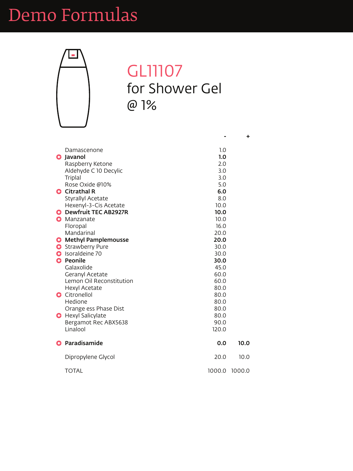

#### **GL11107** for Shower Gel @ 1%

| Damascenone              | 1.0 |
|--------------------------|-----|
| <b>G</b> Javanol         | 1.0 |
| Raspberry Ketone         | 2.0 |
| Aldehyde C 10 Decylic    | 3.0 |
| <b>Triplal</b>           | 3.0 |
| Rose Oxide @10%          | 5.0 |
| <b>G</b> Citrathal R     | 6.0 |
| <b>Styrallyl Acetate</b> | 8.0 |
| Hexenyl-3-Cis Acetate    |     |

|   | HEXEIIVI-J-CIS ACELALE       | 1V.V   |        |
|---|------------------------------|--------|--------|
|   | <b>Dewfruit TEC AB2927R</b>  | 10.0   |        |
| 8 | Manzanate                    | 10.0   |        |
|   | Floropal                     | 16.0   |        |
|   | <b>Mandarinal</b>            | 20.0   |        |
|   | <b>G</b> Methyl Pamplemousse | 20.0   |        |
|   | <b>G</b> Strawberry Pure     | 30.0   |        |
|   | <b>Isoraldeine 70</b>        | 30.0   |        |
| G | <b>Peonile</b>               | 30.0   |        |
|   | Galaxolide                   | 45.0   |        |
|   | <b>Geranyl Acetate</b>       | 60.0   |        |
|   | Lemon Oil Reconstitution     | 60.0   |        |
|   | <b>Hexyl Acetate</b>         | 80.0   |        |
|   | <b>G</b> Citronellol         | 80.0   |        |
|   | Hedione                      | 80.0   |        |
|   | Orange ess Phase Dist        | 80.0   |        |
|   | <b>G</b> Hexyl Salicylate    | 80.0   |        |
|   | Bergamot Rec ABX5638         | 90.0   |        |
|   | Linalool                     | 120.0  |        |
|   | Paradisamide                 | 0.0    | 10.0   |
|   | Dipropylene Glycol           | 20.0   | 10.0   |
|   | <b>TOTAL</b>                 | 1000.0 | 1000.0 |
|   |                              |        |        |

**+**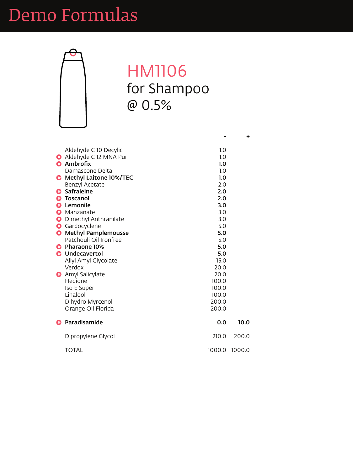

### HM1106 for Shampoo @ 0.5%

| Aldehyde C 10 Decylic           | 1.0          |
|---------------------------------|--------------|
| Aldehyde C 12 MNA Pur           | 1.0          |
| <b>G</b> Ambrofix               | 1.0          |
| Damascone Delta                 | 1.0          |
| <b>G</b> Methyl Laitone 10%/TEC | 1.0          |
| <b>Benzyl Acetate</b>           | 2.0          |
| <b>G</b> Safraleine             | 2.0          |
| <b>Toscanol</b>                 | 2.0          |
| A Lomonilo                      | $\mathbf{z}$ |

|           | Lemonile                    | 3.0    |        |
|-----------|-----------------------------|--------|--------|
|           | Manzanate                   | 3.0    |        |
| $\bullet$ | Dimethyl Anthranilate       | 3.0    |        |
|           | Gardocyclene                | 5.0    |        |
| $\bullet$ | <b>Methyl Pamplemousse</b>  | 5.0    |        |
|           | Patchouli Oil Ironfree      | 5.0    |        |
| G         | <b>Pharaone 10%</b>         | 5.0    |        |
|           | <b>G</b> Undecavertol       | 5.0    |        |
|           | <b>Allyl Amyl Glycolate</b> | 15.0   |        |
|           | Verdox                      | 20.0   |        |
|           | <b>G</b> Amyl Salicylate    | 20.0   |        |
|           | <b>Hedione</b>              | 100.0  |        |
|           | <b>Iso E Super</b>          | 100.0  |        |
|           | Linalool                    | 100.0  |        |
|           | Dihydro Myrcenol            | 200.0  |        |
|           | Orange Oil Florida          | 200.0  |        |
| G         | Paradisamide                | 0.0    | 10.0   |
|           | Dipropylene Glycol          | 210.0  | 200.0  |
|           | <b>TOTAL</b>                | 1000.0 | 1000.0 |
|           |                             |        |        |

**+**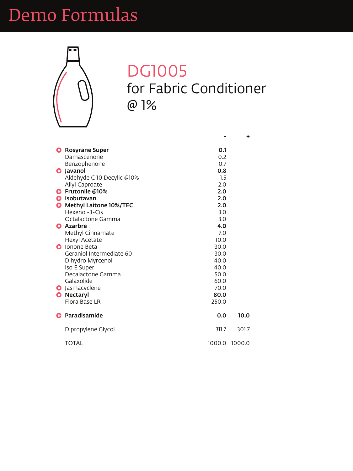

#### DG1005 for Fabric Conditioner @ 1%

| <b>G</b> Rosyrane Super    | 0.1 |
|----------------------------|-----|
| Damascenone                | 0.2 |
| Benzophenone               | 0.7 |
| <b>G</b> Javanol           | 0.8 |
| Aldehyde C 10 Decylic @10% | 1.5 |
| <b>Allyl Caproate</b>      | 2.0 |
| G Frutonile @10%           | 2.0 |
| Isobutavan<br>G            | 2.0 |
| A Mothul Laitone 100/ TEC  | ח ר |

| <b>G</b> Methyl Laitone 10%/TEC | 2.0    |        |
|---------------------------------|--------|--------|
| Hexenol-3-Cis                   | 3.0    |        |
| Octalactone Gamma               | 3.0    |        |
| <b>G</b> Azarbre                | 4.0    |        |
| <b>Methyl Cinnamate</b>         | 7.0    |        |
| <b>Hexyl Acetate</b>            | 10.0   |        |
| <b>C</b> Ionone Beta            | 30.0   |        |
| Geraniol Intermediate 60        | 30.0   |        |
| Dihydro Myrcenol                | 40.0   |        |
| Iso E Super                     | 40.0   |        |
| Decalactone Gamma               | 50.0   |        |
| Galaxolide                      | 60.0   |        |
| <b>G</b> Jasmacyclene           | 70.0   |        |
| <b>Nectaryl</b><br>$\bullet$    | 80.0   |        |
| Flora Base LR                   | 250.0  |        |
| Paradisamide                    | 0.0    | 10.0   |
| Dipropylene Glycol              | 311.7  | 301.7  |
| <b>TOTAL</b>                    | 1000.0 | 1000.0 |

**+**